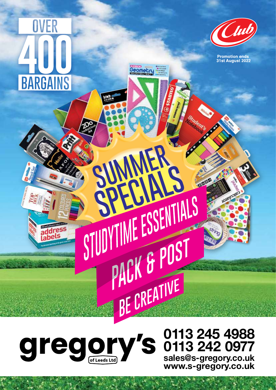## OVER **BARGAINS**

address<br>Labels



**Promotion ends<br>31st August 2022** 

Geometri

SUNNAIS

SPELLESSENTIALS

WINE LUCTORT

PAUN U T

## S egory  $\overline{\mathbf{C}}$ of Leeds Ltd

## **0113 245 4988 0113 242 0977 sales@s-gregory.co.uk www.s-gregory.co.uk**

**CERTIFICATE**